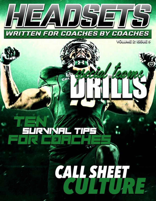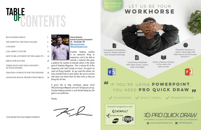# CONTENTS TABLE<br>OF

[BUCK SWEEP & BELLY 2](#page-2-0)

[TEN SURVIVAL TIPS FOR COACHES 4](#page-3-0)

Coaches helping coaches is an awesome thing to experience, and to be able to provide a material that gives

a platform for coaches to educate others is the entire goal of Headsets Magazine. This is volume #2 of this magazine, and it will include six issues. Our goal is to cover all things football. As you read the articles, we have included links to each author. Be sure to connect with them and thank them for their time as they are doing this for free.

If you'd like to help contribute, please email FBCoachsimpson@gmail.com and I will get you set up. Coaches helping coaches is, and should always be, the goal in our profession.

Powerful buttons to resize, rearrange and reformat to fit the boxes **OUICKLY** 

Thanks,

Kenny Simpson Author/Coaching Consultant HC - Southside, AR [@fbcoachsimpson](https://twitter.com/fbcoachsimpson) [FBCoachSimpson.com](http://fbcoachsimpson.com)

| <b>CALL SHEET CULTURE</b> |  |
|---------------------------|--|
|                           |  |

[HOW TO BE A STUDENT OF THE GAME: PT. 1](#page-10-0) 18

[DRILLS FOR SUCCESS 20](#page-11-0)

#### [THREE MUST HAVE PASS CONCEPTS](#page-13-0)  [IN YOUR OFFENSE 25](#page-13-0)

[CREATING CONFLICTS FOR THE DEFENSE](#page-14-0) 26

[ADVANCED BLOCK DESTRUCTION DRILLS](#page-15-0) 28

*\*CLICK ON ANY TITLE TO GO STRAIGHT TO ARTICLE\**



TRY US FREE FOR

巨

30 days LET US BE YOUR

A POWERFUL PLUGIN FOR MICROSOFT VISIO & POWERPOINT

**@Www.proquickdraw.com @@PQDSystem** 

Customize templates with team fonts, colors, sizes and logos

Hundreds of templates, stencils, folder systems and sample drawings

> Store a library of plays in the menu for easy access

# IF YOU'RE USING **POWERPOINT**, YOU NEED **PRO QUICK DRAW "**

 $\sqrt{}$  PLAYBOOKS  $\sqrt{}$  SCOUT CARDS  $\sqrt{}$  PRESENTATIONS



**"**



# **[WORKHORSE](https://www.proquickdraw.com/)**



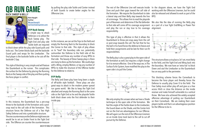Rich Hargitt Author [@coachhargitt](https://twitter.com/coachhargitt?lang=en) [surfacetoairsystem.com](https://surfacetoairsystem.com/)

# <span id="page-2-0"></span>QB RUN GAME BUCK SWEEP & BELLY



#### **01P Buck Sweep**

A simple way to attack Defenses is to utilize the Buck Sweep play. The Tight End and play side Tackle both are required

to block down while the play side Guard pulls and kicks out. The Center blocks back and the backside Guard pulls and wraps for the Linebacker. The final player is the backside Tackle as he cuts off the backside C Gap.

This style of blocking is very simple and will feature the Quarterback as the runner. This complicates the surface for the Defense by placing the Running Back on the Sweep side of the play and then putting the force player in conflict.



In this instance, the Quarterback has a pre-snap throw to the backside of the formation and a postsnap read to the call side of the formation. This structure forces the Defense out of a Two High Safety Defense and into a predictable structure. The one countermeasure the Defense might execute would be to set an Under Front to the Tight End side. The Offense can counter the countermeasure

by pulling the play side Tackle and Center instead of both Guards to create better angles for the Offensive Line.



In this instance, we can set the Trips to the field and empty the Running Back to the boundary to block the Corner to that side. This style of play allows us to "load" the boundary side run, potentially outnumber the Defense to the field side of the formation and throw any number of easy RPOs to that side. The beauty of these Sweep plays is there are many to dress up the formation. We could align with a Wing, employ Motion, or tag any number of RPOs to make the structure of the Offense harder for the Defense to relate to.

#### **01P Belly**

The Belly and Down play have long been a staple of off-tackle style football. These plays are also great ways to attack in the modern power spread run game world. We like to keep the Tight End attached and empty the Running Back to the same side as the Tight End as he and the playside Tackle both block down onto the first defender to their inside gap.



BACK TO TABLE OF CONTENTS 3 *BACK TO TABLE OF CONTENTS BACK TO TABLE OF CONTENTS*



This type of play is effective in that it allows the Quarterback to throw pre-snap away from the call or post-snap towards the call. The fact that he has the ball in his hand forces the defense to freeze and hold their assignments and be late for their run-fit responsibilities.

The rest of the Offensive Line will execute Inside In the diagram above, we have the Tight End Zone and push their gaps toward the call side of working with the Offensive Linemen, but he could the formation. We require the Quarterback to take a lateral step and then Belly step towards the line RPO. of scrimmage. This allows him to read the playside pair of Receivers and determine if the flat defender to that side will come off his coverage assignment as a part of a true Tight End/Wing or Power Pair and play the run or stay true to his coverage alignment. responsibility. also be released and allowed to work as part of the We also like the idea of running the Belly play

We only employ this answer when we have a Shade technique to the open side of the formation. We feel the angle of the Tackle down to the Linebacker, the Guard down on the Shade, and the Center kick out on the End are advantageous for our Offense. We will again run the rest of the Offensive Linemen on an Inside Zone track back to the call to cut off pursuit by the Defense.

The Belly play is also a great play to the open side of the formation as well, but requires a slight change for it to remain effective. One of the ways we, in The Surface To Air System, have modified the play to the open side is to pull the Center. This structure allows us to place a 3x1 set, most likely to the field, and the Tight End and Wing back into the boundary. We now have an 'extra hat' to block Down and seal the Linebacker so the Quarterback has an easy path to the perimeter.



This blocking scheme forces the Cornerback to become the force player and thereby forces the Defense to usually play Cover 0 to the field. The Free Safety must either play off and give us a free access Hitch or close the distance on the inside receiver and make himself vulnerable to a vertical throw. We have also achieved the widely accepted offensive advantage of putting our Quarterback on their Cornerback. We are making their cover players tackle and that is an advantageous position for the Offense to be in.

- 
- 
-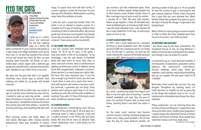Tony Holler Speaker/Author/Founder of Feed the Cats and Track and Football Consortium [Courses](https://trackfootballconsortium.com/holler/) [Football Content](https://coachtube.com/bundles/football-bundle?track=efbc3e6c8b1f41cb60ddd50a5ea84f1b) [@pntrack](https://twitter.com/pntrack)

# <span id="page-3-0"></span>FEED THE CATS TEN SURVIVAL TIPS FOR COACHES



house and witnessed the toll that coaching

father coached for 47 years and won 644 games as I live four minutes from Plainfield North High a high school and college basketball coach. By the School. For 38 of my 41 years in the game, I time I was 15, my dad had coached at five schools have lived within a mile of my workplace. To my and we had moved four times. By then, we were knowledge, I was the only teacher at Plainfield treading water financially. Our family car was a North who went home for lunch. Rain, sleet, or broken-down station wagon with a defective gas snow, I ate lunch at home. Stale air and fluorescent gauge and a dented driver's side door that wouldn't lighting can distort your senses. In addition, eating open. Needless to say, I didn't drive to my prom.

My mom was the glue that held it all together. Somehow, mom found ways to provide food, resources.

I wanted the life that my father had. I was certain at age 19, and that same certainty has never left me. I wanted to wake up every day excited… excited about the players on my team, the next game, and week, something is going to break. the next season. I wanted the emotional connection that coaches have with their athletes. I wanted the *#2 CHOOSE WISELY* winning and losing, and everything that went with it.

I grew up in a coach's my ten tips are unique to my life, some of them are I write this with a proud but humble heart. This article is not an attempt to impress anyone. As I complete my 41st year of coaching, I believe I have something of value to share with others. My survival guide may not be your survival guide. Even though universal. I hope young coaches may benefit.

#### takes on a family. My *#1 GO HOME FOR LUNCH*

clothing, and shelter for six people with limited a quick drive to work and a quick drive home. I lunch with unappreciated, underpaid, curriculumdriven teachers is no way to keep your spirits high. But here's the more important issue. If you live close enough to go home for lunch, you also have work with teachers who endure a two-hour roundtrip commute. I guarantee you one thing: those teachers aren't going to coach long. It's no secret, coaching can seem like a full time job in addition to teaching. If you add 6-12 hours of driving to a work

resign "to spend more time with their family." If a coach is going to survive the long haul, he must take care of his family first. Nothing ends a coaching career faster than problems at home.

> For the career coach, summer must become summer vacation. Creating a backyard playground makes sense. Today, youth baseball is the tail that wags the dog for many American families. An *Indue their choices and I have made mine*.<br>(*continued on next page*)

BACK TO TABLE OF CONTENTS 5 Most coaching careers end badly. Many are a mother (common in the 1950's). My dad chose train wrecks. Marriages suffer. Families become wisely. Not only did he marry an attractive high dysfunctional. Every year, hundreds of coaches school valedictorian from a solid family, but he In my introduction, I mentioned my mom. She was a mother of four by the age of 30 and gave up a promising career in order to become a wife and *BACK TO TABLE OF CONTENTS BACK TO TABLE OF CONTENTS*

#### *#3 BUY A BACKYARD POOL*

also married a girl who understood sports. Three of my mom's brothers played college football; two of them became career football coaches. Venus & Mars marriages may not work so well for coaches. I married Jill in 1983. We were both teachers. Before we got together, I knew Jill attended every home basketball game at Harrisburg High School. I was the head basketball coach. I also learned Jill was a huge football fan. To this day, my wife enjoys sports as much as I do. alarming number of kids age 6 to 18 are paraded all over the country to play in tournaments and gain national exposure. Parents invest thousands into a sport that was once relatively free. When families follow their prodigies from game to game, the fabric of family life changes. Forget about that backyard pool. When I think of a coach giving up summer vacation in order to follow their kids' baseball teams from Tucson to Tucumcari, I just shake my head.

As a coach, I worked long weeks from August until May. In my first eight years of teaching, I coached football, basketball, and track. Over the past 41 years, I've coached 78 teams. And, as every coach knows, coaching doesn't end when the season is over.

In 1993, I won a small settlement for a wrongful dismissal as head basketball coach. We invested around \$3,000 into a backyard pool for our family of six. For the next 11 summers, our pool was the center of family life. A picture of the Holler backyard pool, circa 2001. Resort living for a small price. *#4 RETHINK OBLIGATIONS* I was blown away by the book, Essentialism: The Disciplined Pursuit of Less, by Greg McKeown. I believe it to be the best coaching book ever written, even though it was not written for coaches.



I've learned to say no. I have declined hundreds, if not thousands, of graduations, graduation parties, baptisms, first communions, confirmations, funerals, weddings, school plays, family gettogethers, coach's parties, and just about everything else you can imagine. The only sport I watch on TV is football.

Remember, these survival tips are mine. You may disagree. Throughout my coaching career, I've made decisions to simplify my life by going big on the things that mattered most to me. I've deemphasized or eliminated many things that others hold dear.

Please understand I am not criticizing those who live lives of duty and obligation. I respect those who show up for their niece's middle school graduation. I respect people who attend the funerals of distant relatives and friends of friends. Those people have made their choices and I have made mine.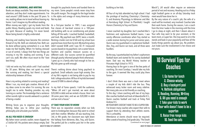#### *#5 READING, RUNNING, AND WRITING*

Books are always available. They never demand my attention, and they don't make appointments. I've read around 1,000 books in the past 50 years. To me, reading allows me to travel without leaving my Not my dad. home. I can't imagine my life without reading. When money was tight, I got my books from the As a first-year teacher in 1981, I was assigned public library. Reading quiets my mind and feeds five classes of low-level science in a 100-yearmy spirit. Because of reading, I'm never bored. Never being bored is highly underrated.

Running and reading have become the common thread of my life. Both are relatively free. Both can be done without going somewhere in a car. Both make me feel healthy. When I'm feeling stressed or out of control, I always find that two things are Teachers and coaches measure success on a missing in my life: reading and running. If you can't run, walk. We often must resort to the "next best thing".

I did not write my first article until I had coached for 30 years. Writing does not quiet my mind like running and reading, but there's a special relationship between all three.

How is my writing related to running and reading? When I run, my mind gets creative. Almost all of my ideas come to me when I'm running. No one taught me to write. Reading provides my only training as a writer. The knowledge that a sentence either sounds right or sounds awkward is a product of being a reader.

Writing forces you to organize your thoughts. *#7 TAKE YOUR KIDS TO WORK* Writing helps you to refine your coaching philosophy and articulate your beliefs.

#### *#6 ALL YOU NEED IS ENOUGH*

brought his paychecks home and handed them to my mom. Some people's minds never stray from the profit margin. The struggle for the legal tender is the alpha and omega of many American men.

old building with no air conditioning and plaster falling off the walls. I coached football, basketball, and track. My paycheck was \$499, twice a month. Renting a trailer cost me \$160 and my school loan payment was more than my rent. My teaching salary didn't exceed \$50K until I was 50. If I measured success based on my paycheck, I am a career failure. different scale. Our success cannot be quantified (though poorly informed people think otherwise). I grew up in a family who had enough to live on. My kids grew up with enough.

There's nothing divine about living paycheck to paycheck. Small setbacks cause high anxiety. One of my life's regrets is not being able to pay for my kids' college education. All four of my kids borrowed around \$100K to attend college.

In my Hall of Fame speech, I told the audience, "When Jill and I got married, we were about \$20,000 in debt and we rented a house. Here I am 30-some years later, and we are \$20,000 in debt and we rent a house."

BACK TO TABLE OF CONTENTS TO THE RESERVE TO TABLE OF CONTENTS TO THE RESERVE TO TABLE OF CONTENTS TO TABLE OF CONTENTS TO TABLE OF CONTENTS TO TABLE OF CONTENTS TO THE RESERVE OF CONTENTS TO THE RESERVE OF CONTENTS TO A RE My father never carried a wallet; never slipped me the hallway from Adrienne, Alec, Troy, and Quinn. a 5-dollar bill. His pockets were always empty. Dad The perfect job for a mother puts her in the same There was no separation anxiety when our kids went to kindergarten because they went to school with their mother. Whether Jill was teaching 2nd, 3rd, or 4th grade, her classroom was right down *BACK TO TABLE OF CONTENTS BACK TO TABLE OF CONTENTS*

building as her kids.

football team and started for his varsity basketball team. Dad was my World History teacher at Princeton High School in 1973. Having keys to the gym is one of the few perks of coaching. On most Sundays, I would take my kids to the gym. It seemed like they could play there forever. I don't think there was ever a track meet where a couple of my kids didn't ride the bus. They witnessed every locker room and every sideline. Not many jobs are as kid-friendly as coaching. To this day, I share coaching with two of my boys. Alec coaches football and track at Edwardsville H.S., Quinn coaches football and track at Tinley Park #8 YOUR WIFE DOESN'T HAVE TO BE A SUPER-FAN support them by attending their athletic events. This is unhealthy. Attendance at events should never be required. After a week of teaching 2nd grade (aka, "The Death

All four of my kids attended my high school. I had the privilege of teaching Chemistry-I, Chemistrymeet would have done her in. By the very nature of a coach's job, the wife of a their work home. During the season, I am a coach from the time I wake in the morning until the time

By the way, I quarterbacked my father's sophomore Andrew H.S. I've known many coaches who expect their wife to 10 Survival Tips for **Coaches** 1. Go home for lunch 2. Choose wisely 3. Buy a backyard pool 4. Rethink obligations 5. Reading, Running, Writing 6. All you need is enough 7. Take your kids to work 8. Your wife doesn't have to be a superfan 9. Raise free range kids 10. Feed the cats (*continued on next page*)

II, and Anatomy Physiology to Adrienne and Alec at Harrisburg High School. In Plainfield, I taught Honors Chemistry to Troy and Quinn. I never coached my daughter, but I coached Alec's I go to sleep at night, and then I dream about it. freshmen and sophomore football teams. I was varsity offensive coordinator when Troy started as a wide receiver during his junior and senior years. Quinn was my quarterback in sophomore football. Alec, Troy, and Quinn ran track, and all three were hurdlers. coach will be involved; very involved. Coaches take Your wife may want to be your assistant, or the team mom, or super-fan. She may want to sit in the stands and bask in your popularity and hear all the lovely things parents say about you. No problem. Just make sure the involvement is her choice and not yours.

March"), Jill would often require an extensive period of rest and recovery. Heading out to a Friday night football game or an all-day Saturday track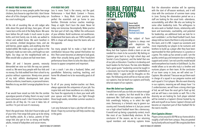#### <span id="page-5-0"></span>*#9 RAISE FREE RANGE KIDS*

It's strange that so many people prefer free-range Less Is more. Tired is the enemy, not the goal. chickens, but choose to cage their kids. I don't know when all of this changed, but parenting today can be a soul-crushing job.

At the risk of sounding like an old codger who talks about the good old days, here goes. Jill and born before the pill made it much easier to plan the summer, climbed dangerous trees, and ate the opposite. wild berries, green apples, and anything else that looked edible. We made up our own games in the Too many people fail to make a high level of backyard, made our own rules, and fought our own fights. Our dogs ran the neighborhood with us. Bikes would take us places we had never been.

When Jill and I became parents, necessity demanded we raise our kids the way our parents raised us. We were busy people with four kids and lam a coach. I am also a husband, father, and no money. Our kids walked from their school to my grandfather. Balancing coaching, teaching, and practice without supervision. Ninety-nine percent home life allowed me to be reasonably good at all of my kids' athletic development took place three. without uniforms, travel teams, or personal trainers. Needless to say, we didn't arrange playdates for our kids.

I were born at the end of the Baby Boom. We were Tthe best part of kid's day. Reflect the enthusiasmbirths and limit family size. As kids, we walked to Understand that teams who are 100% healthy and school and walked home. We went barefoot in 80% in shape will always beat the teams who are Performance > Hard Work. Content > Process. Excellence > Busy Work. Limit practice time, perfect the essentials and go home to your families. Eliminate six-hour coaches meetings. Sleep at night. Don't burn the steak. Never let today ruin tomorrow. Decomplexify. Make practice of your athletes. Build racehorses not workhorses.

If we would have raised our kids like the zombie apocalypse parents of today, there's no way I could have continued to coach. I don't know how modern parents do all they do. I'm sure it takes lots of coming soon. sacrifice. I'm just not sure it's necessary.

Here's the good news: Kids don't have to take up all of your time. Free-range kids grow up to be strong and healthy adults. As a bonus, parents of freerange kids also get to live as strong and healthy adults, instead of babysitters and soccer moms.

#### *#10 FEED THE CATS*

contribution because they spread themselves too thin. Their career becomes an attempt to look good, rather than actually being good. Their fraudulent performance forces them to echo the ideas of their bosses to appear competent and important.

To all of you young teacher-coaches out there, always appreciate the uniqueness of your job. You inspire kids and chase excellence on a daily basis. You have the opportunity to share your work with your spouse and kids. When you fight through those tough weeks, remember summer vacation is

I am very fortunate to have a job that still stirs my blood. I hope my survival tips will help coaches stay in the game.

# **CAPTAINS** RURAL FOOTBALL **REFLECTIONS**



Kevin Swift Retired AD/HC Gold Beach HS - OR [@kdawgswift](https://twitter.com/kdawgswift) [Football Tool Chest](https://drive.google.com/drive/folders/0Bw_SxtAmImaFTkllMy0tWXhJYXc?resourcekey=0-S1zkAaCxhI4IU9i5O1KHng&usp=sharing)

BACK TO TABLE OF CONTENTS 9 *BACK TO TABLE OF CONTENTS BACK TO TABLE OF CONTENTS*

The subject of Team Captains is always met with skepticism by people and coaches.

Many feel that Captains divide a team or are not needed for a team to be successful. My feeling on Captains goes back to my high school days and Servite's Curia (Captains); and the belief that one of our jobs as Educators / Coaches is to develop and teach leaders for the future. The late John Madden had a great quote "Leadership cannot be taught in a classroom, but must be taught on battlefields or athletic fields," I agree with his thoughts on this topic. The following article will be on how we select our captains, how we teach our captains and finally what we expect of our captains.

#### *How We Select our Captains:*

I would love to tell you our kids are mature enough to select our captains, but that would be a false statement. We / Staff select our captains, with the kids unwittingly helping us to select the right ones. Democracy is a fantastic way to govern our country and I honestly believe in it, but you cannot run a high school football team like a democracy. It would end up being a popularity contest, much like most of our Student-Body elections. At the conclusion of the season, we let our returning squad members and returning captains know diversity we are looking for. Each player selected will be invited to a Captain's Dinner hosted by my the next 6 months. *First Captains Dinner:* Players arrive around 6:00 PM at our home which is roughly a half mile from campus. They are greeted by my lovely wife and myself. We congratulate them

that the observation window will be opening with the start of off-season workouts, and it will close with the conclusion of summer team camp in June. During the observation period we as a staff are looking for the usual traits –attendance, accountability, and effort. We also are looking for some other leadership traits. The willingness to do extra work or football chores, relationship with team and teammates, coachability, and potential for leadership, are additional traits we look for in each candidate. I, as the Head Football Coach, have always told our teams that there is only one whip on this team, and it is ME. I expect our assistants and more importantly our players to be nurturers and brothers to build up a player after they have been reprimanded for their performance in a practice or a game. This make up has served us well, I am the quality control guy and everyone else is working to support and correct. I am not sure this model would work everywhere but it works in Gold Beach. So, this model allows us to see who truly is a brother and nurtures players on their team. At the conclusion of our team camp in June, we will select our 7 Captains. We selected 7 because we put them each in charge of a squad in our pregame routine and each squad is 5 to 6 players. We also want diversity in our captains, meaning we will always have 1 to 2 underclassmen, we will have a strong silent type of kid, we will have the vocal get'm fired up kid, and we will have a non-starter as well. This is the wife and myself at our home. Captain's Dinners will become an important part of their football life for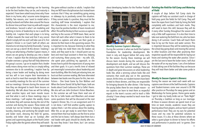and explain that these meetings are for learning the game without coaches or adults. I explain that to be the best leaders they can be, and maturity is  $\;$  they are NOT team disciplinarians but instead team  $\;$ expected. I have been asked many times why I have nurtures that if they see something going wrong them in my home, why I assume some dangerous or sideways try to positively correct the situation. liability. Two reasons, one I want to model what a If they cannot make it a positive, they must let the quality husband and father does around the house coaching staff know immediately. I explain that for dinner time and how I treat my wife with respect  $\;$  this  $\;$  characteristic  $\;$  is  $\;$  the  $\;$  most  $\;$  important  $\;$  to  $\;$  me;  $\;$ and kindness. Second is what I am modeling and teaching in terms of leadership to me is worth the effort. This will be the key to their success as captains liability risk. I explain that each player is to bring 7 dollars towards the meal and that if any cannot them tell each other what it means to them to be afford it simply tell me and I will take care of it, first ) selected as captains and what are their goals or Captain's Dinner is on Coach Swift all others are shared as to not strap my family financially. 7 young men can eat up a storm! At this dinner / meeting I will lay out what being a Panther Captain means, it means we are going to develop you into a leader of men. I explain that the dictionary definition of a leader oversees a group that will help determine she spent years polishing my approach, so she the group's success. I go on to explain that a leader really means doing more not less or simply telling someone else to do something. I explain how by being a team leader and leading by doing more not less will in turn inspire their teammates to work as hard to meet their example. We talk about our monthly meetings for the rest of the summer and our meetings / dinners during the season and how they are designed to teach them lessons on leadership. We talk about how we will be talking about sensitive topics and team morale issues and that what is said in these meetings stays in these meetings. I will explain the weekly chores some questions that will be discussed at the next and duties they will oversee during the rest of the summer and during the season. These duties will include but not be limited to helping with daily laundry, cleaning, and sanitizing the weight room and locker room, dressing the field for games, laundry and locker clean up on Sundays after games and supervising players at the Youth Center

BACK TO TABLE OF CONTENTS 11 Friday nights after the games where they will watch By now they know I love them, but I am serious they must be positive builders of team morale and and key to the success of THEIR team. Next, we let desires for their team in the upcoming season. This is important to me, because listening to what they say will help me mold them into the leaders we need, and they want to be. I should point out my best and most loyal assistant is there too, helping and nurturing, these young men – my wife. LOL, knows how to polish the expressions of young men and their goals. It is just a terrific time of relaxed yet meaningful conversation about leadership and team building. After this lively yet relaxing time, we bust out their summer reading. We have alternated between two books over the years for this, two nonfictions – One Great Game by Don Wallace and When the Game Stands Tall by Neil Hayes; both are books about Coach Ladouceur De La Salle's Teams. We also will use John Grisham's fiction Bleachers. In the summer we will have them read one of the De La Salle books and Bleachers and answer Captain's Dinner. Yes, it is an assignment and if it is not done, I will find another quality captain to replace them. I am this serious about the reading. After this as we get ready to send them home, I remind them that true leaders are the first to arrive and the last to leave, I will always beat them but a real leader with goals should be shortly after me. *BACK TO TABLE OF CONTENTS BACK TO TABLE OF CONTENTS*

about developing leaders for the Panther Football Program.



*Monthly Summer Captain's Meetings:*

During the summer is when we build the Captains Foundation for Leadership development. We meet in July and August before fall camp starts for the season. During these meetings we will discuss team morale during the summer, player development and depth, and we will discuss the questions from their summer readings. These are in depth and great discussions on what leadership looks like, what a winning culture looks like and scenarios that could play out in the upcoming season. At this time, our student trainers have been invited to these dinners, and they are responsible for bringing desserts for after dinner. I like having the young ladies there for one simple reason – so our captains can learn to treat them as respectful equals in the team's success and to teach a little chivalry! I have always wanted to teach more than just football.





# *Painting the Field for Fall Camp and Watering of Field:*

A couple of days before Fall Camp starts the captains will help our assistant coach in charge of field prep paint the fields for Fall Camp. They will learn the ropes from Coach Yoda by lining the field completely with numbers and hash marks. They will need to learn this skill, because they will do it every other Sunday throughout the season with only a little staff supervision. It is also their time to take over watering the field from me, who has been doing it all summer. Coach Yoda will teach them how to lay out the hoses and water cannon. This is important because they will be watering during the school day going down and moving the cannon to other locations and then after practicing their respective squads will be responsible for laying out hoses and starting the water after practice. Since I am the last one to leave the locker room, I will shut the water off on my way home. I am a firm believer in kids taking care of the facilities they use because they will treat them better and take some pride in them.

#### *Weekly In Season Captain's Dinners:*

During the season we meet each week with our captains over dinner at the Swift hacienda. Captains and Student-trainers come over around 6:30 PM after practice on Thursdays for away games and on Wednesdays for home games. Home game weeks I got to take my lovely bride out on "Date Night" on Thursday a tradition as long as our marriage. At these in-season dinners we spend most of our time on team morale, academic issues they are hearing about from players, and our team's present performance level. They are my ears for potential issues and my crew for potential solutions to these issues. It is also at these dinners where we select a guest player to dinner to honor his efforts and performance in practice and / or games. Over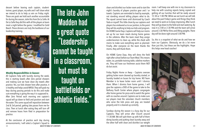dessert before leaving each captain, studenttrainer, guest player, my wife and I will share what we intend to do to help us win on Friday night. These are goals we hold each another accountable for during the season, stole this from De La Salle. At De La Salle they did this with all the players at team meal a night before the game, I modified for Gold Beach. These dinners are truly the backbone of our leadership training.



#### *Weekly Responsibilities in Season:*

All Captains help with laundry during the week, this is starting towels after Zero period showers and making sure we have clean dry towels after practice. Yes, our kids shower here after practice, it is healthy and helps avoid MRSA. They will grab my keys during passing periods to do this and make sure everything is going the way it is supposed to. After Zero Period each morning one captain's squad will go down to field and position and start the water. This same squad will reposition between 2nd & 3rd period, getting late passes from me for class. Then at lunch after eating they will turn off and remove hoses from filed in preparation for practice.

At the conclusion of practice each day during announcements, I will select a Captain's Squad to

The late John Madden had a great quote "Leadership cannot be taught in a classroom, but must be taught on battlefields or athletic fields."

BACK TO TABLE OF CONTENTS 13 Sundays during the season is a busy day for our Captains. They will arrive after Church around 11:30 AM. We will split them up with half of them doing laundry and putting clean laundry away and the other half with clean and disinfect our weight *BACK TO TABLE OF CONTENTS BACK TO TABLE OF CONTENTS*



room. I will keep one with me in my classroom to help me with scouting reports being copied and getting all our lunches that will be ready around 12:30 or 1:00 PM. While we eat lunch we will talk about the past Friday's game and things they think we need to work on to keep improving. After lunch they will go down to the field and start watering. By now it is 2:00 or 2:30 PM and the team will arrive around 3:30 PM for films and lifting weights. There day will be done right around 5:00 PM. So, this is a snapshot of what we do and how we train our Captains. Obviously, we do a lot more than just this, but these are the highlights. Hope this helps new head coaches! clean and disinfect our locker room and to start the night's laundry of players practice gear and / or towels. Captains are reminded to lead by example, not standing around telling players what to do. The squad cannot leave until dismissed by Coach Yoda or myself. This little chore by our captains and players has endeared us to our janitors, to the point they will do anything to help our kids and program. On HOME Game Days, Captains will help our moms set up for our team meals during home games in the cafeteria. After the team meal they assign underclassmen to clean up, while the check with moms to make sure everything went as planned. Finally, after everyone on the team thanks the moms, they will thank them.

On HOME Game Days, they will dress the field right after school before our Team Meal. This means water, ice, portable training table, sideline markers etc. They will have our freshmen assist them NOT do but assist.

Friday Nights Home or Away – Captains oversee getting locker room cleaned up laundry started, or laundry loaded on buses for trip home. NO Team Member is to leave locker room until I dismiss them. When I dismiss from home games, I will give the captains a DVD of the game to take to the Bethany Youth Center where players congregate after home games for pizza and to watch the game with no coaches around. Captains are to make sure our players treat the volunteer church members who serve the kids pizza and pop, are treated properly and it is cleaned up correctly.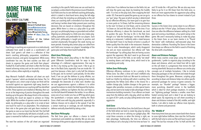# <span id="page-8-0"></span>MORE THAN THE GAME CALL SHEET CULTURE



John Torrey Monarch Football-Iowa [jtorrey@denisoncsd.org](mailto:jtorrey%40denisoncsd.org?subject=) Twitter: [@mistertorrey](https://twitter.com/mistertorrey) Insta: @CoachJohnTorrey Author of [More Than The](https://www.amazon.com/More-than-Game-John-Torrey/dp/1939548993)  [Game](https://www.amazon.com/More-than-Game-John-Torrey/dp/1939548993) Classroom Podcast

Few things in coaching are as personal or as meticulously cultivated from week to week as a coordinator's call sheet. Each game's call sheet is a reflection of that team's coaching philosophy, preparation, installation, practice structure, and game management. While every coordinator has one, the best coaches use their call sheets to organize the game and build their players' Football IQ. A well-written call sheet is often the first step toward achieving victory and can be used to mirror your team's culture, either explicitly or implicitly.

Atop Monarch Football's offensive call sheet are each game's "openers," which are divided into halves. The 1st Half openers are a short script of plays we think will be successful against our opponents right away, based on the defensive tendencies our coaching staff has identified on film. These openers are installed on Monday, then run on-air at the beginning of practice throughout the week leading up to the game. We always finish in the endzone, simulating the result we expect to achieve on Friday night. While the number of openers varies from week to week, my philosophy as a play-caller is to script at least their role in the game plan and gets them involved in the game as soon as our team has the ball. The 2nd Half openers' box is intentionally left blank at kickoff, as this *Red Zone Philosophy* space is reserved for halftime and in-game adjustments.

The next five sections of the call sheet are organized the tempo of the game to adjust to what our players need

Co-Host of the Culture field zone's philosophy is taught prior to practice and according to the specific field zones we use and teach to our players, as described in the previous issue of Headsets. Each field zone has its own defined coaching philosophy, which is stated in short-hand terms along the left edge of the call sheet. By including our philosophy on the call sheet, our coaching staff is reminded of our team values and having it written down helps prevent poor coaching decisions that are based on emotions throughout the game. While there is a time as a play-caller to go with your gut, our philosophy keeps us grounded and unified. Aligning our philosophy to a field zone also makes playcalling systematic and predictable for our players. Each coached situationally throughout the week during our team periods. Knowing why certain plays are called from each field zone increases our players' knowledge of the game plan and helps them build Football IQ.

one touch for each of our playmakers. This emphasizes a certain match-up or coverage, we will challenge the When thinking about play-calling in the Black Zone, great Offensive Coordinators look for ways to take advantage of a defense's aggressiveness. One way to do this is by mixing up the snap count. I like to go on two in the Black Zone, especially if we are inside the -10 yard line because a false start is only half the distance to the goal, not its normal 5 yard penalty. On the other hand, if we can get the defense to jump offsides, our offense gains 5 yards. The upside of going on two simply outweighs the downside of a false start. Another way we use aggressiveness against a defense is to utilize spread formations to stretch the field beyond the hashes. Spreading a defense out lightens the box and helps us run the ball downhill between the tackles. In our offense, every one of our inside runs has an RPO tag which gives the quarterback a run/pass option, making the Black Zone a field zone with big play potential, especially if a defense chooses not to adjust to the spread. If we like defense vertically downfield by taking a shot.

#### *Black Zone Philosophy*

at the time. If our defense has been on the field a lot, we and 10 inside the +40 yard line. We are also way more will slow the game way down by breaking the huddle with :15 or less on the play clock, then snapping the ball under :05. If we want to speed the game up, we can go to our "gas" plays. The pace at which we play is determined three. by our offensive efficiency. Our team goal is to gain four or more yards on 1st Down, half the remaining distance *Green Zone* to the next 1st Down on 2nd Down, and to convert the 1st Down on 3rd and 4th Down, 45% of the time. If our offensive efficiency is above this benchmark, we tend to quicken the pace. The key to life in the Red Zone though is to "take the hamburger," not the steak. When eating at a restaurant, I seldomly order a steak because in the Green Zone, as our team mantra is to "Pound the Iowa beef I have in my freezer at home is usually of better quality than the steak in the restaurant. However, I love to order cheeseburgers, which rarely disappoint me and are more economical. Our offense will "take the hamburger" by calling plays that are having success against the opponent. We don't want to go three-andout from this part of the field, so we rarely "eat steak" by wasting downs and taking shots, which tend to be unsatisfying and costly. likely to go for it on 4th Down from this field zone, so there are more opportunities for aggressive play-calling as our offense has four downs to convert instead of just Success in the Green Zone comes down to our offense's ability to win the "4-Point" plays. 3rd Downs in the Green Zone are often the difference between settling for a field goal and scoring a touchdown, a four-point swing in the game. We aren't necessarily looking to make big plays The Stone" with methodical, well-executed plays that demoralize a defense. Pounding The Stone in the Green Zone keeps our offense on the field in search of finishing the drive with a touchdown. *Down and Distance Packages* While many coaches script plays using the hashes as guidemarks, I prefer to organize plays according to the down and distance, which are listed from left to right

The Red Zone gives our offense a chance to build momentum and establish our identity. We can also vary

*Yellow Zone Philosophy* Offensive efficiency continues to be a priority in the concepts out of multiple formations, I like to include Yellow Zone. Too often a drive will reach midfield only to see its momentum fizzle out. We want to continue to build our rhythm by sticking with what is working. One according to down and distance helps me utilize specific opportunity the Yellow Zone offers is the chance for a sudden change play. Sudden changes in the game can happen after penalties, turnovers, or elite special teams play, and we want to be ready to take advantage of these momentum-building moments. If our offense can break away from the defense with a big play, which we define as a gain of 20+ yards, our play-calling tends to be more aggressive. *Gold Zone* on the call sheet in a progression that mirrors the ball moving downfield. Because our offense runs similar play these play packages on the call sheet and rotate through them throughout the game. Moreover, scripting plays personnel packages for various in-game scenarios. For example, our "thunder" package" features a bigger, more punishing, downhill runner in the backfield, which is ideal for short yardage situations. In contrast, our "lightning package" features a smaller, more fleetfooted running back and is ideal if we are looking to attack space. By organizing our call sheet according to down and distance instead of the left, middle, and right hashes, I am able to make our offense more dynamic, both in scheme and personnel.

An extension of the Yellow Zone, the Gold Zone is the part of the field where we look to create big plays by taking shots at the end zone or utilizing our gadget plays. We How many times have you seen a team botch their chance script these scenarios so when the timing is right, we to score right before halftime, then start the 3rd Quarter take advantage. Traditionally, the time our offense is with the ball only to come out flat and have to punt right most likely to call a shot play is the first time we have 1st away? The last four minutes of the 1st Half and the first *The "Middle 8"*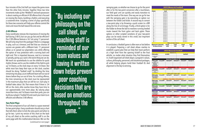four minutes of the 2nd Half can impact the game more than the other forty minutes. Together these two time increments make up the "Middle 8" and each possession is about creating an efficient 4:00 offense that is focused on moving the chains, building a rhythm, and executing a sustained drive. Scripting a series of plays specifically for these two scenarios will help your offense control the clock and move the ball toward the end zone.

#### *2:00 Offense*

"By including our philosophy on the **call sheet, our** coaching staff is reminded of our team values and having it written down helps prevent poor coaching decisions that are based on emotions throughout the game.

Every coordinator stresses the importance of moving the ball during 2:00 O, but can you go fast and be efficient? Our 2:00 offense features a 3x1 set using 11 personnel. We will only stray from this package if there is a stoppage in play, such as a timeout, and feel that our chances of success are greater with a different look. 11 personnel allows us to spread our playmakers out, while offering the option of max protection with a running back and tight end. This is important because, next to a turnover or penalty, giving up a sack is the worst thing we can do. We teach our quarterbacks to use the sideline for quick rhythm throws and to use the middle of the field to pick up 1st Downs, as the clock stops on every 1st Down. But while most fans keep their eyes on the clock, coaches should be doing "football math" by dividing the time remaining into plays, as an inefficient team will run out of downs before they run out of time. For a trailing offense, the time remaining on the clock must be represented in the maximum plays that can still be run. Each play in football takes about :06. That means that if there is :54 left on the clock, elite coaches know they have time to run approximately nine more plays. By valuing plays more than time, and 1st Downs more than yards, you can build your players' Football IQ and coach your team to an efficient and effective 2:00 offense.

|                                             | <b>2022 Monarch Football</b> |                     |              |               |  |  |  |
|---------------------------------------------|------------------------------|---------------------|--------------|---------------|--|--|--|
| <b>Extra Point OR Two-Point Conversion?</b> |                              |                     |              |               |  |  |  |
| <b>Points</b>                               | Lead                         |                     | <b>Trail</b> |               |  |  |  |
| ĩ                                           | Go For 2                     |                     | Go For 2     |               |  |  |  |
| $\mathbf{z}$                                | Go For 1                     |                     | Go For 2     |               |  |  |  |
| ä                                           | Go For 1                     |                     | Go For 1     |               |  |  |  |
| 4                                           | Go For 2                     |                     | Go For 1     |               |  |  |  |
| 5                                           | Go For 2                     |                     | Go For 2     |               |  |  |  |
| 6                                           | Go For 1                     |                     | Go For 1     |               |  |  |  |
| $\overline{z}$                              | Go For 1                     |                     | Go For 1     |               |  |  |  |
| $\bar{a}$                                   | Go For 1                     |                     | Go For 1     |               |  |  |  |
| 9                                           | Go For 1                     |                     | Go For 2     |               |  |  |  |
| 10                                          | Go For 1                     |                     | Go For 1     |               |  |  |  |
| 11                                          | Go For 1                     |                     | Go For 2     |               |  |  |  |
| 12                                          | Go For 2                     |                     | Go For 2     |               |  |  |  |
| 13                                          | Go For 1                     |                     | Go For 1     |               |  |  |  |
| 14                                          | Go For 1                     |                     | Go For 1     |               |  |  |  |
| 15                                          | Go For 2                     |                     | Go For 1     |               |  |  |  |
| 16                                          | Go For 1                     |                     | Go For 2     |               |  |  |  |
| 17                                          | Go For 1                     |                     | Go For 1     |               |  |  |  |
| 18                                          | Go For 1                     |                     | Go For 1     |               |  |  |  |
| 19                                          | Go For 2                     |                     | Go For 2     |               |  |  |  |
| 20                                          | Go For 1                     |                     | Go For 1     |               |  |  |  |
|                                             |                              | When To Take A Knee |              |               |  |  |  |
| <b>Opponent's Timeouts</b>                  | <b>Oleft</b>                 | <b>Iteft</b>        | 2 Left       | <b>3 Left</b> |  |  |  |
| <b>Ist Down Victory</b>                     | $2-00$                       | 1:20                | ,40          | :05           |  |  |  |

| 2022 Monarch Football |            |                              |                                                                                                  |                                                                                                                       |  |  |
|-----------------------|------------|------------------------------|--------------------------------------------------------------------------------------------------|-----------------------------------------------------------------------------------------------------------------------|--|--|
|                       |            |                              |                                                                                                  |                                                                                                                       |  |  |
|                       |            |                              | 2nd Malf:                                                                                        |                                                                                                                       |  |  |
|                       |            |                              |                                                                                                  |                                                                                                                       |  |  |
|                       |            |                              |                                                                                                  |                                                                                                                       |  |  |
| Ist and 10            | 2nd and 5+ | 2nd and 5                    | 3rd and 5+                                                                                       | 3rd and 5                                                                                                             |  |  |
|                       |            |                              |                                                                                                  |                                                                                                                       |  |  |
|                       |            |                              |                                                                                                  |                                                                                                                       |  |  |
| Ist and IO            | 2nd and 5+ | 2nd and <5                   | 3rd and 5+                                                                                       | 3rd and <5                                                                                                            |  |  |
|                       |            |                              |                                                                                                  |                                                                                                                       |  |  |
| Ist and 10            | 2nd and 5+ | 2nd and <5                   | 3rd and 5+                                                                                       | 3rd and <5                                                                                                            |  |  |
|                       |            |                              |                                                                                                  |                                                                                                                       |  |  |
| lst and 10            | 2nd and 5+ | 2nd and (5                   | 3rd and 5+                                                                                       | 3rd and 15                                                                                                            |  |  |
|                       |            |                              |                                                                                                  |                                                                                                                       |  |  |
| Ist and 10            | 2nd and 5+ | 2nd and 5                    | 3rd and 5+                                                                                       | 3rd and <5                                                                                                            |  |  |
|                       |            |                              |                                                                                                  |                                                                                                                       |  |  |
| Ist and 10            | 2nd and 5+ | 2nd and 5                    | 3rd and 5+                                                                                       | 3rd and <5                                                                                                            |  |  |
|                       |            |                              |                                                                                                  |                                                                                                                       |  |  |
| Ist and 10            | 2nd and 5+ | 2nd and 5                    | 3rd and 5+                                                                                       | 3rd and +5                                                                                                            |  |  |
|                       |            |                              |                                                                                                  |                                                                                                                       |  |  |
|                       |            | <b>Ist Malf:</b><br>$-1$ Jun | Ореанеек ух.<br>30 to -400<br>Yellow Zame (~40 to +40)<br>4.00 Offense<br><b>Two Point Plays</b> | <b>Black Zone (Goailine to -20)</b><br>Gold Zone - Jake A Shot (+40 to Endronal<br><b>Creen Zone (+20 to Endzane)</b> |  |  |

#### *Two-Point Plays*

The final component of our call sheet is a space reserved for two-point plays. Every coordinator should carry a chart that tells them when to kick the extra point and when to go for two. I print my version of this chart on the back of my call sheet so the entire coaching staff is on the same page with this mathematical decision. We run the (*continued on next page* )

swinging gate, so whether we choose to go for the point after or for the two-point conversion after a touchdown, our field goal unit can quickly and easily transition to meet the needs of the team. One way we can go for two with the swinging gate is by executing an option run between the holder and kicker. A second way to convert a two-point play is by throwing a quick screen to a WR along the line of scrimmage. Finally, a third option is for the holder to throw the ball to receivers running leveled routes toward the front pylon and back pylon. These options or other scripted variations of your two-point plays can be easily stored in this small, but important section of the call sheet.

In conclusion, a football game is often won or lost before it is played. Preparing a call sheet allows coaches to establish a game plan that can help their team perform at a high level from the opening kickoff to the final whistle, no matter what situation they find themselves in. A well-organized call sheet aligns a program's values, culture, philosophy, personnel, and situational packages, all while helping players build their Football IQ. And alignment is the key to winning.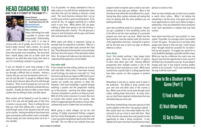# <span id="page-10-0"></span>HEAD COACHING 101 HOW TO BE A STUDENT OF THE GAME: PT. 1



#### *Find a mentor* Today's technology has made it possible to connect with many people. Unfortunately, it has made it so easy to

connect with a lot of people, but at times it can be hard to really "connect" with a mentor. As a young coach, I felt I knew about everything there was to know about pretty much everything. But even back then I would always seek out an older coach and attempt to see what they were doing, then work to see if it is something I wanted in my program.

If you are blessed to coach long enough in this sport, there will be times you need a coach to help you through a difficult time or situation. Having a mentor who you can trust has become vital to me. I will call and talk with 3-4 people (in different fields of work also) to bounce ideas off and to talk through situations. These must be people you can trust and usually people that are not directly involved with your situation. Usually, the best are older or even retired coaches that are willing to listen and offer advice.

Most coaches will be flattered to even be asked to work in this role and will gladly give of their time to mentor a young coach. There is nothing that can help you more than talking with a coach who has lived through many of the situations that will come up for coaches. Having the ability to have honest and open conversations with another coach is invaluable. Choose wisely, but even learning what not to do is also valuable.

If at all possible, I've always attempted to hire an older coach on my staff that has already been there and done that and not looking to become a head coach. This coach becomes someone that I can go to with issues and be a good sounding board. If you cannot do this, I'd suggest searching for a retired coach in your area. While phone calls are great, nothing is better than going to eat and forming a real relationship with a mentor. This will give you a chance to vent frustrations and be open and honest with someone that can help.

While talent and ability is important, having an example that has experience is priceless. Often as a young coach, or even older coach, we learn the "hard way". Those that seem to have earlier success are those that learn from the lessons of the generation before them. Be unique and make your own decisions, but understand that experience can be helpful.

#### *Visit other staffs*

It has amazed me how willing coaches are to share with each other. Many times, I have been nervous to ask for things, but rarely am I ever told "no". Find the time to ask those you respect at ANY level to see if you can simply sit in or watch their practices. College coaches are usually very gracious to allow this. However, I feel most knowledge is gained through watching a practice and the preparation leading up to that practice. Learning how others organize, structure, and perform a practice can help any coach. With all of the online resources it is easier than ever to connect with coaches across the country. And while I'd suggest going to the campus, using a videoconferencing source is better than not connecting.

While going to watch colleges can be fun and exciting, I'd highly recommend finding a program that has similar demographics as your program and is very successful and going to spend some time with that staff. This can help as you evaluate areas your

Kenny Simpson Author/Coaching Consultant HC - Southside Charter HS, AR [@fbcoachsimpson](https://twitter.com/fbcoachsimpson) [FBCoachSimpson.com](http://fbcoachsimpson.com)

> how other coaches run their program or position group.

> program needs to improve upon as well as see some going to a session or two. scheme that may help your athletes. Most of the time these visits will be the most effective for a coach. There are now multiple ways to reach out to coaches Seeing how other coaches motivate and seeing that most are dealing with the same problems you are networking is not the same, it has given each coach dealing with helps. Learn why something works for a program. Anyone can get a playbook or find something online, but coaches. or watch clinics online. While I do believe the more opportunities to reach out to others to begin a relationship. It has also allowed for clinics to become much more specialized on subjects that may help

Networking is also key as coaches work to grow in the profession. The ability to know coaches from your own area and other areas of the country is key. While some of this can be done through social media, nothing beats face-to-face. At many clinics you can start those important relationships that may ultimately help you land a job.

One thing I started doing a few years ago was to look up the speakers at the clinic I was going to attend. I then would reach out a few weeks before the clinic and work to set up a time to meet with them. Most of the time this was easily done and granted me the opportunity to make a strong connection. It also helped me to learn more than I would have by simply

to be able to see the inner workings of a successful program you must see it up close. Watch how the Learn about more than just "your position" or "your team practices, how the coaches meet, the structure system" if possible. As a younger coach I just wanted of the organization and more. Seeing this in-person will be the best way to learn any type of offense/ defense or culture. *Go to clinics* Since I first started coaching, I have always loved going to clinics. There are now 100's of options to learn more about your craft. Hearing different perspectives from multiple coaches is one of the change each year it may require running another best ways to learn and grow as a coach. While many coaches have a specific style, it is always good to hear to learn the game. The goal was to see what other people were doing so that one day I could choose what I thought would be successful for me when I had my own program. I'd suggest you search for as much football knowledge as possible and file it away. While you may be a defensive line coach now, one day you may have the opportunity to move up and it will help if you can prepare as you go. As your players scheme to be successful. If you have learned along the way, it will be much easier.

How to Be a Student of the Game (Part 1) 1) Find a Mentor

2) Visit Other Staffs

3) Go to Clinics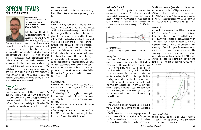# <span id="page-11-0"></span>SPECIAL TEAMS DRILLS FOR SUCCESS



Stephen Mikell Offensive Coordinator and Offensive Line Coach Stuarts Draft High School Stuarts Draft, VA

In the last issue of HEADSETS, I wrote about organizing your special teams and how we plan for a week of practice.

This issue, I want to share some drills that we use to practice specific skills for special teams. Just with offense and defense, practice time should be divided among walkthrough team time, individual or group skill development, and lastly full team time either on air or against a scout team. During the preseason, the drills we use can often be done by the whole team at once and double as conditioning while working on the skills that will transfer to our schemes. We will also use circuits to cycle players through quickly and work on multiple skills in a short amount of time. Some of the drills below have been adapted specifically for our schemes. However, they're easy to adapt to fit your schemes as well.

#### **Coverage Drills**

#### *Sideline Coverage Drill*

One coverage drill we really like is very simple. We call it "Sideline Coverage Drill". While it's primarily for kick off coverage, the skills are applicable to punt coverage as well. I got from AFCA's Complete Guide to Special Teams in an article by Greg McMahon. The diagram below shows how we set up the field for this drill.



*Equipment Needed:*

8 Cones or something to be used for landmarks, 2 hand shields, Bag or dummy large enough to be tackled

#### *Description:*

Cover man (CM) starts on one sideline, then on coach's command, sprints across the field. He must avoid the first bag while staying w/in the 3 yd box, he then regains his coverage lane to the next scout player. The CM then uses a two-hand butt technique in the ATTACK zone to defeat and shed the 2nd block. Once past this point, the player will sprint to the cones and settle his feet (chopping) in a good football position. The returner will then be released by the coach to run full speed to one of the landmarks. The CM will shuffle to the side that the returner is running to and execute an open field tackle on the bag the returner is holding. The players will then rotate to the starting position at the opposite sideline. One coach will be on each side to release the CM and returner. Variation: This could also be done using a kicker or punter, so that the returner gets practice fielding kicks and the CM gets accustomed to moving on the kicker's movement.

*Coaching Points:*

• Players should use any means possible to avoid the first blocker, but must stay w/ in the 3 yd box and regain lane integrity.

• On attacking the 2nd bag, players should gather feet to prepare for contact. On contact, they should stun pad with heel of their palms and shuck pad to one side.

• Do not release the return man until the CM has gathered feet at cones.

• Ensure proper form tackle on the returner's bag. Have CM execute form tackle and bring the bag to the returner's spot while still in form tackle.

#### *Defend the Box Drill*

*Equipment Needed:* 8 Cones or something to be used for landmarks

#### *Description:*

Cover man (CM) starts on one sideline, then on coach's command, sprints across the field. A return team blocker (RB) starts the drill aligned 2-3 yds outside of the hash. As the CM sprints, the RB must back pedal to give a 5-7 yd cushion just like a defensive back would for a wide receiver. When the cushion is broken, the RB must then open his hips to "alley run" with the CM. The RB is trying to force the CM to go outside the cones to protect the ball carrier on the opposite numbers. The CM is simply trying to tag the ball carrier. Players will rotate from CM to returner to RB. A coach will be on the side to release the CM. Other coaches should be coaching up the blockers.

Another drill that's very similar to the sideline coverage drill is one we call "Defend the Box. This drill works on both coverage and on blocking someone in space on a return team. The set up is almost identical to the sideline cover drill with a few changes. The diagram below shows how we set up the field for this drill. CM's hip and the other (hand closest to the returner) on his chest and "ride" the CM past the returner. • When the RB opens his hips to alley run, we teach the CM to "cut to his butt". This means that as soon as the blocker opens his hips up, the CM will cut to his other side forcing the blocker to flip his hips again. *6 Line Drill*



#### *Coaching Points:*

• The CM should use any means possible to avoid the RB but must stay w/ in the 3 yd box and regain lane integrity.

# Another drill that works multiple skills at once that we

• The RB should delay contact as long as possible and does not need a "kill shot" to guide the CM past the box. When contact must be made, we teach blockers to put one hand (hand furthest from Returner) on the *Equipment Needed:* Balls and cones. The cones can be used to help the coverage men line up correctly and to give specific coverage landmarks if you want.

REALLY like is called 6 line drill. I used a variation of this drill when I was in high school in North Georgia in the 1990's. We've adapted it for us. We use stretch zone blocking for our punt protection as part of a rugby punt scheme and we always directionally kick to the right. This drill is great for everyone. When run at a fast pace, you can accomplish a lot with this. Long snappers get lots of snaps, punters get lots of punts, returners get lots of catches IN TRAFFIC, and everyone else gets lots of conditioning by covering down the field. The diagram below shows how we set

up the field.

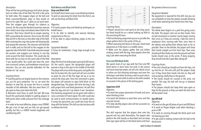#### *Description:*

There will be two punting groups and return groups. *Drop and Block Drill* Each on either side of the field. The drill is the same Our kickoff return team uses a cross blocking scheme. for both sides. The snapper aligns on the ball and three coverman/blockers align as they would on punt to his right. We use 2' splits on our punt team. Then the snapper goes through his cadence as *Objective:* normal. On the snap the blockers/covermen execute their stretch zone steps and release down field to the kickoff return. returners. Their focus should be on proper spacing, NOT surrounding the returner. Once across the field, assignment on the run they will fill in the lines on the other side of the field. • To be able to adjust blocking angles at the last After receiving the snap, the punter will directionally moment kick toward the returners. The returners will field the ball in traffic and run the ball to the snapper on the *Equipment Needed:* opposite side of the field. Essentially everyone except 4 Cones for landmarks, 5 bags large enough to be the punters and snappers are moving in one big blocked. circle around the field. Variation: This could also be done with the six lines on the same side of the field *Description:* if you would prefer. You could also have the cover Align the front line with proper spacing for KO return. men surround, contain, and breakdown around your returners. You can also provide defenders for the execute a drop to the spot in the middle of the field. blockers to "rip" across.

#### *Coaching Points:*

you use for punt protection. For us, we want the blockers to step flat, rip across the face or outside shoulder of the defenders. We also want them 3-5 yds apart as they cover down the field.

found this particularly helpful in getting players to team.

• Coaching points are largely based on the schemes around the drop spot. Once the command is given, • Returners must focus to catch the ball. We have The blocking assignment can be given with either a field punts when under pressure from the coverage be used to work communication on double teams. On the coach's signal, the designated player will The player will arrive at the drop point, and gather his feet. As he does this, the coach will call out a number as given for one of the five bags set up in an arc the player will execute an open field block on the designated bag. The player will drive the bag 5 yds with proper form and head placement. He will then take the bag and set it up where it was. Variations: voice command of hand signal. This drill could also If using live personnel, you could also have the arc drop with the blocker. This drill can also be done with or without the Ends.



• In order to be most effective, players must SPRINT. We get a ton of reps and our kids can get gassed quickly, but this is a GREAT mental toughness and conditioning drill.

# **Kick Return and Block Drills**

To work on executing this block from the front 6, we will use the Drop and Block Drill.

• To teach proper drop and blocking techniques on

• To be able to identify and execute blocking



#### *Coaching Points:*

but head should be on a swivel looking up field to the oncoming KO team. • Yell out blocking assignment just as or just after the player gathers feet in the center of the arc. • When executing the block on the pad, check head placement as if the return is a middle return. • Make sure the players gather feet just before making contact with the bag. Have players drive the bag 5 yds when executing the block.

#### **Punt and PAT Block Drills**

# *Superman Drill*

#### *Objective:*

• To teach the proper placement of hands and arms when blocking a kick.

• To teach the blockers to work their arms until the *Get Off Drill* very last minute

• Players should turn and sprint to the drop point, The whole team begins on a yard line going across the field. The players start out on their knees, then on ball movement or coaches' sound, begin moving their arms as if they are running. I take this time to emphasize form running with their arms bent at the elbows and pulling their elbows back as far as possible. Then on the whistle, the players will shoot their hands straight out from their hips. Their arms should pull their body out onto the ground and their hands should cross at the wrists. If done properly, they should look like Super Man taking off.

• To help identify players who will be successful on the block teams.

This drill requires that the players dive onto the ground and not catch themselves. The players that perform the drill exactly as described and can keep their eyes open will be on the block teams and have

the greatest chance at success.

## *Equipment Needed:*

No equipment is required for this drill, but you can use volleyballs to have the players actually blocking a ball when extending their hands from their hips.

We spend most of our reps with the Punt and PAT block teams in team time, but early in the season and once every few weeks, we will use a block circuit to refine our kick blocking technique and even the technique used when forming a wall on punt return. We use three main drills to work on the skills needed to succeed in this phase of the kicking game. *Coaching Points:* • The arms should go straight out from the hips, not up into the air. The arms will pull the player's body out. If they shoot their hands into the air, they will end up doing a belly flop on the ground. • The hands should be crossed at the wrist, not parallel. This way, the ball will not go in between

# *Description:*

their hands.

• The players should also keep their eyes open as they hit the ground, so they can watch the ball come off the kicker's foot.

- *Objective:*
- To work on the get off phase of punt and PAT block • To work on Proper Angles used when blocking a punt or PAT
- To work on running through the block point and not leaving your feet
- To get used to making contact with the ball at the block point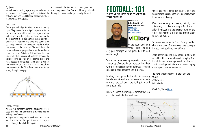### <span id="page-13-0"></span>*Equipment*

You will need a spacing tape, a snapper and a punter cross the punter's face. You should run your hands and several balls. Depending on the variation of the through the block point as you pass by the punter. drill, you may also need blocking bags or volleyballs to use instead of footballs.

# *Description:*

The players will align in A-D gaps on the spacing tapes. They should be in a 3 point sprinter's stance. On the movement of the ball, one player at a time will execute a perfect get off and run through the block point to block the punt or kick. A punter or coach will be catching the snap and punting the ball. The punter will take slow steps initially to allow the blocker to block the ball. The drill should be performed as rapidly as possible to get the maximum number of reps. Variations: This drill can be done using volleyballs instead of footballs because the volley ball will be softer on the players' hands and make repeated contact easier. The players will not shy away from contact with a volleyball. Also, bags can be added to the OL to force the rushers to get skinny through their gaps.



# *Coaching Points*

• Shoot your hands through the block point, not your body. This will limit the chance of running into the kicker/punter/holder.

• Players must run past the block point. You cannot simply run to the block point. You must run your hands through the whole block point.

• If you are in the A or B Gaps on punts, you cannot



Bellingham HS - MA Defensive Coordinator [Coach Tube](https://coachtube.com/users/viqtorysports) [@chrisvIQtory](https://twitter.com/chrisvIQtory) [@vIQtorySports](https://twitter.com/vIQtorySports)

**viQtory** 

At the youth and high school level, finding

# FOOTBALL: 101 THREE MUST HAVE PASS CONCEPTS IN YOUR OFFENSE

easy pass concepts for the quarterback to read can be tough.

Limiting the quarterback's decision-making based on quick reads and progressions can help you push the ball down the field quicker and more accurately.

Below is Y Cross, a simple pass concept that can easily be installed into any offense.



Notice how the offense can easily adjust the crossers route based on the coverage or leverage the defense is playing

Teams that don't have a progression system or a roadmap of where the quarterback should go with the football based on the defense's coverage can lead to poor decisions and turnovers. Coach goes in detail on the whiteboard, showing you all the different variations of each play. After the whiteboard drawings, coach relates each play to actual game footage and how each play is run against common defenses.

When developing a passing attack, our philosophy is to keep it simple for the playcaller, the player, and the receivers running the routes. If any of the 3 is in doubt, it could strain your overall system.

This week, we spoke to Coach Danny Haddad who broke down 3 must-have pass concepts that you can install into your offense.

The plays coach goes over in the video are:

- Y Cross
- Shallow Cross
- Switch Verts

Watch The Video [Here:](https://www.youtube.com/watch?v=dNo25RduUOU)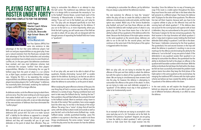Keith Fagan Master Coach: NZone **Football Sustem** OC/OL/DL: Bronxville High School- Bronx, NY [@KF21WR](https://twitter.com/KF21WR) [kf21wr@gmail.com](mailto:kf21wr%40gmail.com?subject=)

# <span id="page-14-0"></span>PLAYING FAST WITH A **ROSTER UNDER FORT** CREATING CONFLICTS FOR THE DEFENSE



trying to outnumber the offense in an attempt to stop the ball carrier. The traditional way defenses have done this is to design drills to accentuate the necessity to "run to the football". Donnie Brown, current head coach of the University of Massachusetts at Amherst, is famous for stating "If you can't run to the football, you can't play for me." Our play calls are designed specifically to turn that former advantage into a disadvantage for the defense. If you run to the ball vs us, or more importantly, where you think the ball is going, you will vacate areas of the field we are able to attack. All our play calls are designed with the thought process of separating the football field into 4 areas or "quadrants".



In all our play calls, we want to be able to attack all four quadrants, thereby eliminating "pursuit drill" as aviable option for the defense. By doing so, we feel we are able to create more one-on-one matchups for our offense and not allow the defense to outnumber us at the point of attack.

When studying the great offensive schemes of the past, the one thing they all had in common was the ability to attack defenses in a variety of ways. Playing a wishbone team and want to take away the fullback dive by "stacking the box"? Not a problem, they will fake fullback dive and pitch the ball to the halfback outside. Want to overload a wing-t team to the side of the motion? Not a problem, here comes waggle back the other way. To me that is the beauty of the wing-t offense. The wing-t has a "series" of plays that all look the same; with the ability to attack inside and outside as well as pass the ball, such as the Buck series (fullback trap - inside, halfback sweep - outside, quarterback bootleg - pass). The problem in my opinion is that they are unable to do those things simultaneously. The series contain "answer" plays, in that the play series has the answers for how the defense

Run Pass Options (RPOs) first came into existence to take

advantage of the fact that some defensive players had both run and pass responsibilities on any given play. It was just a natural evolution from the flood pass concepts that took advantage of the fact that linebackers and secondary players sometimes have multiple zones to cover (hook/curl, curl/flat, etc.) in the pass game. But defensive coordinators have evolved, and now most defensive schemes look to eliminate the run/pass "conflict" from their players' responsibilities. Whether it's eliminating the run gap fit farthest away from the point of attack in a run scheme (or, as Kyle Cogan, assistant coach at Benedictine College says, 'slinging the fits'), or by separating the run/pass responsibilities into different segments of the defense (box players/secondary players), the "conflict player" in defenses has essentially been eliminated, rendering the traditional run/pass conflict RPO no longer effective.

As defenses evolve, so do the offenses trying to attack them, and vice versa. Thus the never ending cat-and-mouse game that makes football such a unique sport. It is with that in mind that we create our play calls, so we can take advantage of the new evolution of defenses that have eliminated the "conflict player".

With each play call, we are trying to eliminate the age old defensive drill: pursuit drill. Our aim is to make "pursuit drill" a liability for the defense as opposed to a strength. Ask any defensive coordinator the ultimate goal of any defense and they will invariably tell you to get more defenders at the point of attack than offenders. They are

is attempting to outnumber the offense, yet by definition they are always a play behind the defensive reaction.

With our play calls, we are trying to emulate the great offenses of the past and their ability to attack the defense but with the option to attack all four quadrants within the down. We are trying to simultaneously have answers built into the play, for however the defense is attempting to outnumber the offense at the point of the attack. In short, we are trying to make sure each defender assigned to a "quadrant" of the defense must stay in that quadrant in order to be fundamentally sound.



The next evolution for offenses to have the "answers" within the play call was to create the ability to attack the defenses simultaneously inside and outside, and the triple line (we call them Superior, because well, you have to be option was created. Watch any of the Service Academies play football, and you'll see how those offenses are able to attack the defense with multiple points of attack in any given play call. The issue those teams face is the lack of ability to attack all four quadrants of the defense within the down. Because the third phase of the triple option remains in the same quadrant as the second phase, defenses are able to run to the ball for the second phase, and then continue on the same track if the third phase of the option is triggered within the down. boundary. Since the defense has no way of knowing presnap if the route is a viable option throughout the down, they must honor the route until late in the down when the ball presents to a different player. That leaves the defense with 10 players for the other three quadrants. The offensive a superior athlete to play on the offensive line) and the running back will attack quadrant 1. If the defense does not account for the running back and superior with at least 6 defenders, they are outnumbered at the point of attack. That leaves 4 players for the two remaining quadrants. The third receiver in the trips formation will attack quadrant 3 with a 5 step slant-in (glance route), holding the third level defender (field safety) in quadrant 3 until late in the down. That leaves 3 defenders remaining for the final quadrant. The quarterback, first and second receivers in the trips will attack the defense in quadrant 4, resulting in one-on-one



As an example of what we are trying to accomplish is the zone read play out of a 3x1 formation set to the field. As labeled in the previous "quadrant" diagram, we are going to have the ability to attack quadrant 2 with a pre-snap slant-in or fade route from the single receiver into the

matchups for the offense and eliminating the ability for the defense to "run to the ball" at any one point of attack. If the defender(s) in any quadrant vacates their quadrant in an attempt to outnumber the offense, the quarterback has the ability to distribute the ball to the player on offense in the quadrant with favorable numbers within the down. With the ability to distribute the ball down the field within the down, we feel we have successfully eliminated the problem triple options teams face when they keep the third phase of the triple option in the same quadrant as the second phase. By merging the traditional RPO scheme with the triple option scheme we believe we have created the ability to attack all 4 quadrants of the defense within the down.

In the next article, we will explain the thought process behind our playscript, and how we are able to get in and out of different formations efficiently in an effort to stress the defense.